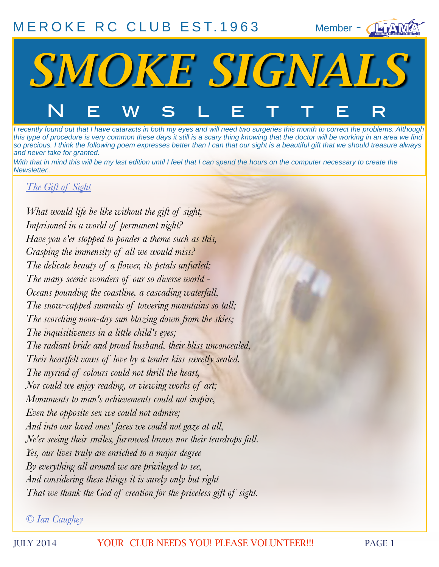# [MEROKE RC CLUB](http://www.meroke.com) EST. 1963

Member - **IEFAMZ** 



*I recently found out that I have cataracts in both my eyes and will need two surgeries this month to correct the problems. Although this type of procedure is very common these days it still is a scary thing knowing that the doctor will be working in an area we find so precious. I think the following poem expresses better than I can that our sight is a beautiful gift that we should treasure always and never take for granted.*

*With that in mind this will be my last edition until I feel that I can spend the hours on the computer necessary to create the Newsletter..* 

#### *The Gift of Sight*

*What would life be like without the gift of sight, Imprisoned in a world of permanent night? Have you e'er stopped to ponder a theme such as this, Grasping the immensity of all we would miss? The delicate beauty of a flower, its petals unfurled; The many scenic wonders of our so diverse world - Oceans pounding the coastline, a cascading waterfall, The snow-capped summits of towering mountains so tall; The scorching noon-day sun blazing down from the skies; The inquisitiveness in a little child's eyes; The radiant bride and proud husband, their bliss unconcealed, Their heartfelt vows of love by a tender kiss sweetly sealed. The myriad of colours could not thrill the heart, Nor could we enjoy reading, or viewing works of art; Monuments to man's achievements could not inspire, Even the opposite sex we could not admire; And into our loved ones' faces we could not gaze at all, Ne'er seeing their smiles, furrowed brows nor their teardrops fall. Yes, our lives truly are enriched to a major degree By everything all around we are privileged to see, And considering these things it is surely only but right That we thank the God of creation for the priceless gift of sight.*

*© Ian Caughey*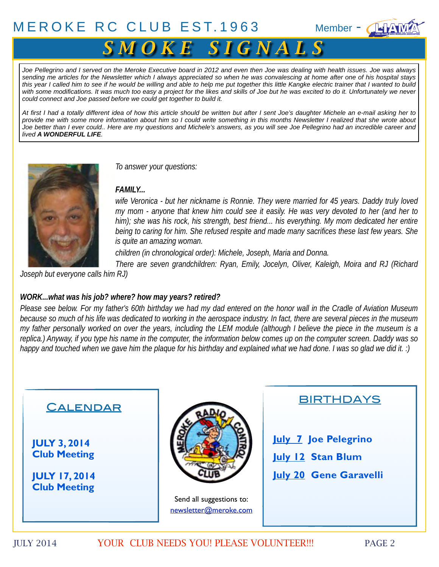## $MEROKE RC CLUB EST.1963$  $MEROKE RC CLUB EST.1963$  Member -  $\sqrt{4}$



# $S$  *M O K E S I G N A L S*

*Joe Pellegrino and I served on the Meroke Executive board in 2012 and even then Joe was dealing with health issues. Joe was always sending me articles for the Newsletter which I always appreciated so when he was convalescing at home after one of his hospital stays this year I called him to see if he would be willing and able to help me put together this little Kangke electric trainer that I wanted to build with some modifications. It was much too easy a project for the likes and skills of Joe but he was excited to do it. Unfortunately we never could connect and Joe passed before we could get together to build it.*

*At first I had a totally different idea of how this article should be written but after I sent Joe's daughter Michele an e-mail asking her to provide me with some more information about him so I could write something in this months Newsletter I realized that she wrote about Joe better than I ever could.. Here are my questions and Michele's answers, as you will see Joe Pellegrino had an incredible career and lived A WONDERFUL LIFE.*



*To answer your questions:*

#### *FAMILY...*

wife Veronica - but her nickname is Ronnie. They were married for 45 years. Daddy truly loved *my mom - anyone that knew him could see it easily. He was very devoted to her (and her to*  him); she was his rock, his strength, best friend... his everything. My mom dedicated her entire *being to caring for him. She refused respite and made many sacrifices these last few years. She is quite an amazing woman.*

*children (in chronological order): Michele, Joseph, Maria and Donna.*

*There are seven grandchildren: Ryan, Emily, Jocelyn, Oliver, Kaleigh, Moira and RJ (Richard* 

*Joseph but everyone calls him RJ)* 

#### *WORK...what was his job? where? how may years? retired?*

*Please see below. For my father's 60th birthday we had my dad entered on the honor wall in the Cradle of Aviation Museum because so much of his life was dedicated to working in the aerospace industry. In fact, there are several pieces in the museum my father personally worked on over the years, including the LEM module (although I believe the piece in the museum is a replica.) Anyway, if you type his name in the computer, the information below comes up on the computer screen. Daddy was so happy and touched when we gave him the plaque for his birthday and explained what we had done. I was so glad we did it. :)*

## **CALENDAR**

**JULY 3, 2014 Club Meeting**

**JULY 17, 2014 Club Meeting**



Send all suggestions to: newsletter@meroke.com



**July 7 Joe Pelegrino July 12 Stan Blum July 20 Gene Garavelli**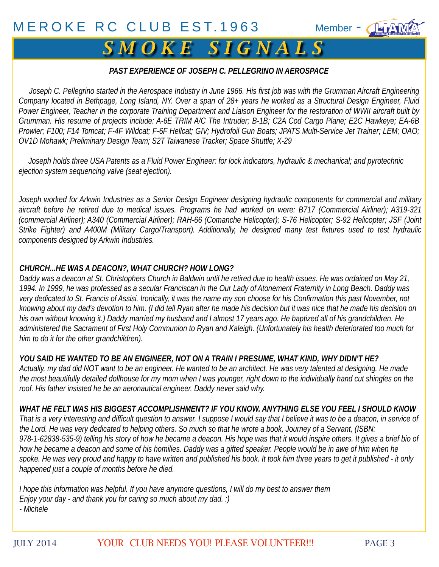

#### *PAST EXPERIENCE OF JOSEPH C. PELLEGRINO IN AEROSPACE*

 *Joseph C. Pellegrino started in the Aerospace Industry in June 1966. His first job was with the Grumman Aircraft Engineering Company located in Bethpage, Long Island, NY. Over a span of 28+ years he worked as a Structural Design Engineer, Fluid Power Engineer, Teacher in the corporate Training Department and Liaison Engineer for the restoration of WWII aircraft built by Grumman. His resume of projects include: A-6E TRIM A/C The Intruder; B-1B; C2A Cod Cargo Plane; E2C Hawkeye; EA-6B Prowler; F100; F14 Tomcat; F-4F Wildcat; F-6F Hellcat; GIV; Hydrofoil Gun Boats; JPATS Multi-Service Jet Trainer; LEM; OAO; OV1D Mohawk; Preliminary Design Team; S2T Taiwanese Tracker; Space Shuttle; X-29*

 *Joseph holds three USA Patents as a Fluid Power Engineer: for lock indicators, hydraulic & mechanical; and pyrotechnic ejection system sequencing valve (seat ejection).*

*Joseph worked for Arkwin Industries as a Senior Design Engineer designing hydraulic components for commercial and military aircraft before he retired due to medical issues. Programs he had worked on were: B717 (Commercial Airliner); A319-321 (commercial Airliner); A340 (Commercial Airliner); RAH-66 (Comanche Helicopter); S-76 Helicopter; S-92 Helicopter; JSF (Joint Strike Fighter) and A400M (Military Cargo/Transport). Additionally, he designed many test fixtures used to test hydraulic components designed by Arkwin Industries.*

#### *CHURCH...HE WAS A DEACON?, WHAT CHURCH? HOW LONG?*

*Daddy was a deacon at St. Christophers Church in Baldwin until he retired due to health issues. He was ordained on May 21, 1994. In 1999, he was professed as a secular Franciscan in the Our Lady of Atonement Fraternity in Long Beach. Daddy was very dedicated to St. Francis of Assisi. Ironically, it was the name my son choose for his Confirmation this past November, not knowing about my dad's devotion to him. (I did tell Ryan after he made his decision but it was nice that he made his decision on his own without knowing it.) Daddy married my husband and I almost 17 years ago. He baptized all of his grandchildren. He administered the Sacrament of First Holy Communion to Ryan and Kaleigh. (Unfortunately his health deteriorated too much for him to do it for the other grandchildren).*

*YOU SAID HE WANTED TO BE AN ENGINEER, NOT ON A TRAIN I PRESUME, WHAT KIND, WHY DIDN'T HE? Actually, my dad did NOT want to be an engineer. He wanted to be an architect. He was very talented at designing. He made*  the most beautifully detailed dollhouse for my mom when I was younger, right down to the individually hand cut shingles on the *roof. His father insisted he be an aeronautical engineer. Daddy never said why.*

WHAT HE FELT WAS HIS BIGGEST ACCOMPLISHMENT? IF YOU KNOW. ANYTHING ELSE YOU FEEL I SHOULD KNOW<br>That is a very interesting and difficult question to answer. I suppose I would say that I believe it was to be a deacon, in ser Fro-1-02000-000-7, telling his story of how he became a deacon. This hope was that it would hisplife others, it gives a bifer bloc<br>how he became a deacon and some of his homilies. Daddy was a gifted speaker. People would b *That is a very interesting and difficult question to answer. I suppose I would say that I believe it was to be a deacon, in service of the Lord. He was very dedicated to helping others. So much so that he wrote a book, Journey of a Servant, (ISBN: 978-1-62838-535-9) telling his story of how he became a deacon. His hope was that it would inspire others. It gives a brief bio of*  how he became a deacon and some of his homilies. Daddy was a gifted speaker. People would be in awe of him when he *happened just a couple of months before he died.* 

*I hope this information was helpful. If you have anymore questions, I will do my best to answer them Enjoy your day - and thank you for caring so much about my dad. :) - Michele*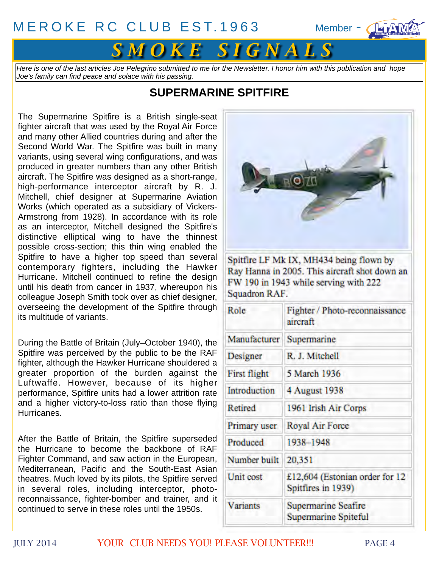

*Here is one of the last articles Joe Pelegrino submitted to me for the Newsletter. I honor him with this publication and hope Joe's family can find peace and solace with his passing.*

## **SUPERMARINE SPITFIRE**

The Supermarine Spitfire is a British single-seat [fighter aircraft](http://en.wikipedia.org/wiki/Fighter_aircraft) that was used by the [Royal Air Force](http://en.wikipedia.org/wiki/Royal_Air_Force) and many other [Allied](http://en.wikipedia.org/wiki/Allies_of_World_War_II) countries during and after the [Second World War.](http://en.wikipedia.org/wiki/Second_World_War) The Spitfire was built in many variants, using several wing configurations, and was produced in greater numbers than any other British aircraft. The Spitfire was designed as a short-range, high-performance [interceptor aircraft](http://en.wikipedia.org/wiki/Interceptor_aircraft) by [R. J.](http://en.wikipedia.org/wiki/R._J._Mitchell) [Mitchell,](http://en.wikipedia.org/wiki/R._J._Mitchell) chief designer at [Supermarine Aviation](http://en.wikipedia.org/wiki/Supermarine) [Works](http://en.wikipedia.org/wiki/Supermarine) (which operated as a subsidiary of [Vickers-](http://en.wikipedia.org/wiki/Vickers-Armstrong)[Armstrong](http://en.wikipedia.org/wiki/Vickers-Armstrong) from 1928). In accordance with its role as an interceptor, Mitchell designed the Spitfire's distinctive [elliptical wing](http://en.wikipedia.org/wiki/Elliptical_wing) to have the thinnest possible cross-section; this thin wing enabled the Spitfire to have a higher top speed than several contemporary fighters, including the [Hawker](http://en.wikipedia.org/wiki/Hawker_Hurricane)  [Hurricane.](http://en.wikipedia.org/wiki/Hawker_Hurricane) Mitchell continued to refine the design until his death from cancer in 1937, whereupon his colleague [Joseph Smith](http://en.wikipedia.org/wiki/Joseph_Smith_(aircraft_designer)) took over as chief designer, overseeing the development of the Spitfire through its multitude of variants.

During the [Battle of Britain](http://en.wikipedia.org/wiki/Battle_of_Britain) (July–October 1940), the Spitfire was perceived by the public to be the RAF fighter, although the [Hawker Hurricane](http://en.wikipedia.org/wiki/Hawker_Hurricane) shouldered a greater proportion of the burden against the [Luftwaffe.](http://en.wikipedia.org/wiki/Luftwaffe) However, because of its higher performance, Spitfire units had a lower attrition rate and a higher victory-to-loss ratio than those flying Hurricanes.

After the Battle of Britain, the Spitfire superseded the Hurricane to become the backbone of [RAF](http://en.wikipedia.org/wiki/RAF_Fighter_Command) [Fighter Command,](http://en.wikipedia.org/wiki/RAF_Fighter_Command) and saw action in the [European,](http://en.wikipedia.org/wiki/European_Theatre_of_World_War_II) [Mediterranean,](http://en.wikipedia.org/wiki/Mediterranean,_Middle_East_and_African_theatres_of_World_War_II) [Pacific](http://en.wikipedia.org/wiki/Pacific_Theater_of_Operations) and the [South-East Asian](http://en.wikipedia.org/wiki/South-East_Asian_theatre_of_World_War_II) theatres. Much loved by its pilots, the Spitfire served in several roles, including interceptor, photoreconnaissance, fighter-bomber and trainer, and it continued to serve in these roles until the 1950s.



Spitfire LF Mk IX, MH434 being flown by Ray Hanna in 2005. This aircraft shot down an FW 190 in 1943 while serving with 222 Squadron RAF.

| Role                | Fighter / Photo-reconnaissance<br>aircraft           |
|---------------------|------------------------------------------------------|
| Manufacturer        | Supermarine                                          |
| Designer            | R. J. Mitchell                                       |
| <b>First flight</b> | 5 March 1936                                         |
| Introduction        | 4 August 1938                                        |
| Retired             | 1961 Irish Air Corps                                 |
| Primary user        | Royal Air Force                                      |
| Produced            | 1938-1948                                            |
| Number built        | 20,351                                               |
| Unit cost           | £12,604 (Estonian order for 12<br>Spitfires in 1939) |
| <b>Variants</b>     | <b>Supermarine Seafire</b><br>Supermarine Spiteful   |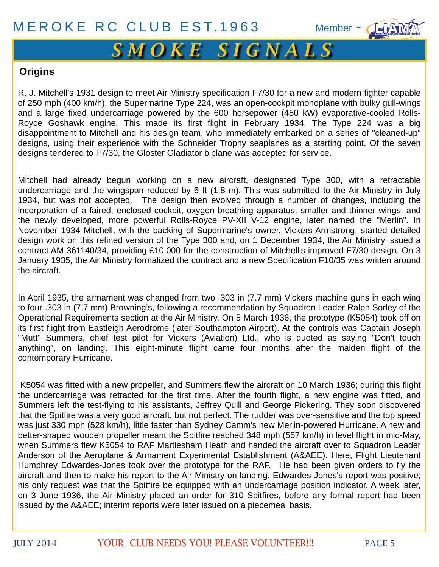# [iiiii](http://www.liama.org) *S M O K E S I G N A L S*

### **Origins**

[R. J. Mitchell](http://en.wikipedia.org/wiki/R._J._Mitchell)'s 1931 design to meet [Air Ministry specification F7/30](http://en.wikipedia.org/wiki/List_Of_Air_Ministry_Specifications) for a new and modern fighter capable of 250 mph (400 km/h), the [Supermarine Type 224,](http://en.wikipedia.org/wiki/Supermarine_Type_224) was an open-cockpit monoplane with bulky gull-wings and a large fixed [undercarriage](http://en.wikipedia.org/wiki/Landing_gear) powered by the 600 horsepower (450 kW) [evaporative-cooled](http://en.wikipedia.org/wiki/Evaporative_cooling) [Rolls-](http://en.wikipedia.org/wiki/Rolls-Royce_Goshawk)[Royce Goshawk](http://en.wikipedia.org/wiki/Rolls-Royce_Goshawk) engine. This made its first flight in February 1934. The Type 224 was a big disappointment to Mitchell and his design team, who immediately embarked on a series of "cleaned-up" designs, using their experience with the [Schneider Trophy](http://en.wikipedia.org/wiki/Schneider_Trophy) seaplanes as a starting point. Of the seven designs tendered to F7/30, the [Gloster Gladiator](http://en.wikipedia.org/wiki/Gloster_Gladiator) biplane was accepted for service.

Mitchell had already begun working on a new aircraft, designated Type 300, with a retractable undercarriage and the wingspan reduced by 6 ft (1.8 m). This was submitted to the Air Ministry in July 1934, but was not accepted. The design then evolved through a number of changes, including the incorporation of a faired, enclosed cockpit, oxygen-breathing apparatus, smaller and thinner wings, and the newly developed, more powerful Rolls-Royce [PV-XII](http://en.wikipedia.org/wiki/Rolls-Royce_Merlin) V-12 engine, later named the "Merlin". In November 1934 Mitchell, with the backing of Supermarine's owner, Vickers-Armstrong, started detailed design work on this refined version of the Type 300 and, on 1 December 1934, the Air Ministry issued a contract AM 361140/34, providing £10,000 for the construction of Mitchell's improved F7/30 design. On 3 January 1935, the Air Ministry formalized the contract and a new Specification F10/35 was written around the aircraft.

In April 1935, the armament was changed from two .303 in (7.7 mm) [Vickers machine guns](http://en.wikipedia.org/wiki/Vickers_machine_gun) in each wing to four .303 in (7.7 mm) [Browning's,](http://en.wikipedia.org/wiki/M1919_Browning_machine_gun) following a recommendation by Squadron Leader [Ralph Sorley](http://en.wikipedia.org/wiki/Ralph_Sorley) of the Operational Requirements section at the Air Ministry. On 5 March 1936, the prototype (K5054) took off on its first flight from [Eastleigh Aerodrome](http://en.wikipedia.org/wiki/Southampton_Airport) (later [Southampton](http://en.wikipedia.org/wiki/Southampton) Airport). At the controls was [Captain Joseph](http://en.wikipedia.org/wiki/Joseph_Summers) ["Mutt" Summers,](http://en.wikipedia.org/wiki/Joseph_Summers) chief test pilot for Vickers (Aviation) Ltd., who is quoted as saying "Don't touch anything", on landing. This eight-minute flight came four months after the maiden flight of the contemporary Hurricane.

 K5054 was fitted with a new propeller, and Summers flew the aircraft on 10 March 1936; during this flight the undercarriage was retracted for the first time. After the fourth flight, a new engine was fitted, and Summers left the test-flying to his assistants, [Jeffrey Quill](http://en.wikipedia.org/wiki/Jeffrey_Quill) and George Pickering. They soon discovered that the Spitfire was a very good aircraft, but not perfect. The rudder was over-sensitive and the top speed was just 330 mph (528 km/h), little faster than [Sydney Camm](http://en.wikipedia.org/wiki/Sydney_Camm)'s new Merlin-powered Hurricane. A new and better-shaped wooden propeller meant the Spitfire reached 348 mph (557 km/h) in level flight in mid-May, when Summers flew K5054 to [RAF Martlesham Heath](http://en.wikipedia.org/wiki/RAF_Martlesham_Heath) and handed the aircraft over to Squadron Leader Anderson of the [Aeroplane & Armament Experimental Establishment](http://en.wikipedia.org/wiki/Aeroplane_%26_Armament_Experimental_Establishment) (A&AEE). Here, Flight Lieutenant Humphrey Edwardes-Jones took over the prototype for the RAF. He had been given orders to fly the aircraft and then to make his report to the Air Ministry on landing. Edwardes-Jones's report was positive; his only request was that the Spitfire be equipped with an undercarriage position indicator. A week later, on 3 June 1936, the Air Ministry placed an order for 310 Spitfires, before any formal report had been issued by the A&AEE; interim reports were later issued on a piecemeal basis.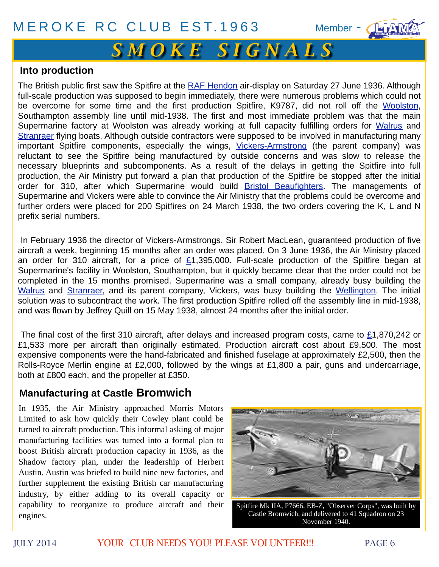# [iiiii](http://www.liama.org) *S M O K E S I G N A L S*

#### **Into production**

The British public first saw the Spitfire at the [RAF Hendon](http://en.wikipedia.org/wiki/Hendon_Aerodrome) air-display on Saturday 27 June 1936. Although full-scale production was supposed to begin immediately, there were numerous problems which could not be overcome for some time and the first production Spitfire, K9787, did not roll off the [Woolston,](http://en.wikipedia.org/wiki/Woolston,_Hampshire) Southampton assembly line until mid-1938. The first and most immediate problem was that the main Supermarine factory at Woolston was already working at full capacity fulfilling orders for [Walrus](http://en.wikipedia.org/wiki/Supermarine_Walrus) and [Stranraer](http://en.wikipedia.org/wiki/Supermarine_Stranraer) flying boats. Although outside contractors were supposed to be involved in manufacturing many important Spitfire components, especially the wings, [Vickers-Armstrong](http://en.wikipedia.org/wiki/Vickers-Armstrong) (the parent company) was reluctant to see the Spitfire being manufactured by outside concerns and was slow to release the necessary blueprints and subcomponents. As a result of the delays in getting the Spitfire into full production, the Air Ministry put forward a plan that production of the Spitfire be stopped after the initial order for 310, after which Supermarine would build **Bristol Beaufighters**. The managements of Supermarine and Vickers were able to convince the Air Ministry that the problems could be overcome and further orders were placed for 200 Spitfires on 24 March 1938, the two orders covering the K, L and N prefix serial numbers.

 In February 1936 the director of Vickers-Armstrongs, Sir Robert MacLean, guaranteed production of five aircraft a week, beginning 15 months after an order was placed. On 3 June 1936, the Air Ministry placed an order for 310 aircraft, for a price of  $£1,395,000$  $£1,395,000$ . Full-scale production of the Spitfire began at Supermarine's facility in Woolston, Southampton, but it quickly became clear that the order could not be completed in the 15 months promised. Supermarine was a small company, already busy building the [Walrus](http://en.wikipedia.org/wiki/Supermarine_Walrus) and [Stranraer,](http://en.wikipedia.org/wiki/Supermarine_Stranraer) and its parent company, Vickers, was busy building the [Wellington.](http://en.wikipedia.org/wiki/Vickers_Wellington) The initial solution was to subcontract the work. The first production Spitfire rolled off the assembly line in mid-1938, and was flown by Jeffrey Quill on 15 May 1938, almost 24 months after the initial order.

 The final cost of the first 310 aircraft, after delays and increased program costs, came to [£1](http://en.wikipedia.org/wiki/Pound_sterling),870,242 or £1,533 more per aircraft than originally estimated. Production aircraft cost about £9,500. The most expensive components were the hand-fabricated and finished fuselage at approximately £2,500, then the Rolls-Royce Merlin engine at £2,000, followed by the wings at £1,800 a pair, guns and undercarriage, both at £800 each, and the propeller at £350.

## **Manufacturing at Castle Bromwich**

In 1935, the Air Ministry approached [Morris Motors](http://en.wikipedia.org/wiki/Morris_Motors)  [Limited](http://en.wikipedia.org/wiki/Morris_Motors) to ask how quickly their [Cowley plant](http://en.wikipedia.org/wiki/Plant_Oxford) could be turned to aircraft production. This informal asking of major manufacturing facilities was turned into a formal plan to boost British aircraft production capacity in 1936, as the [Shadow factory plan,](http://en.wikipedia.org/wiki/Shadow_factory_plan) under the leadership of [Herbert](http://en.wikipedia.org/wiki/Herbert_Austin)  [Austin.](http://en.wikipedia.org/wiki/Herbert_Austin) Austin was briefed to build nine new factories, and further supplement the existing British car manufacturing industry, by either adding to its overall capacity or capability to reorganize to produce aircraft and their engines.



Spitfire Mk IIA, P7666, EB-Z, "Observer Corps", was built by Castle Bromwich, and delivered to [41 Squadron](http://en.wikipedia.org/wiki/No._41_Squadron_RAF) on 23 November 1940.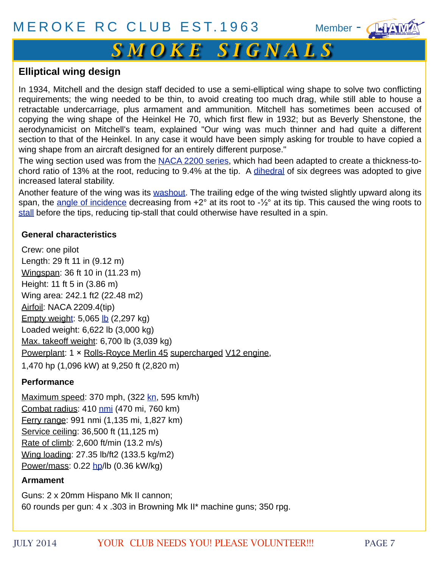# [iiiii](http://www.liama.org) *S M O K E S I G N A L S*

#### **Elliptical wing design**

In 1934, Mitchell and the design staff decided to use a semi-elliptical wing shape to solve two conflicting requirements; the wing needed to be thin, to avoid creating too much [drag,](http://en.wikipedia.org/wiki/Drag_(physics)) while still able to house a retractable undercarriage, plus armament and ammunition. Mitchell has sometimes been accused of copying the wing shape of the [Heinkel He 70,](http://en.wikipedia.org/wiki/Heinkel_He_70) which first flew in 1932; but as Beverly Shenstone, the [aerodynamicist](http://en.wikipedia.org/wiki/Aerodynamics) on Mitchell's team, explained "Our wing was much thinner and had quite a different section to that of the Heinkel. In any case it would have been simply asking for trouble to have copied a wing shape from an aircraft designed for an entirely different purpose."

The wing section used was from the [NACA 2200 series,](http://en.wikipedia.org/wiki/NACA_airfoil) which had been adapted to create a thickness-tochord ratio of 13% at the root, reducing to 9.4% at the tip. A [dihedral](http://en.wikipedia.org/wiki/Dihedral_(aircraft)) of six degrees was adopted to give increased lateral stability.

Another feature of the wing was its [washout.](http://en.wikipedia.org/wiki/Washout_(aviation)) The trailing edge of the wing twisted slightly upward along its span, the [angle of incidence](http://en.wikipedia.org/wiki/Angle_of_incidence) decreasing from +2° at its root to -1/2° at its tip. This caused the wing roots to [stall](http://en.wikipedia.org/wiki/Stall_(aerodynamic)) before the tips, reducing tip-stall that could otherwise have resulted in a spin.

#### **General characteristics**

Crew: one pilot Length: 29 ft 11 in (9.12 m) [Wingspan:](http://en.wikipedia.org/wiki/Wingspan) 36 ft 10 in (11.23 m) Height: 11 ft 5 in (3.86 m) Wing area: 242.1 ft2 (22.48 m2) [Airfoil:](http://en.wikipedia.org/wiki/Airfoil) NACA 2209.4(tip) [Empty weight:](http://en.wikipedia.org/wiki/Manufacturer%27s_Weight_Empty)  $5,065$  [lb](http://en.wikipedia.org/wiki/Pound_(mass))  $(2,297$  kg) Loaded weight: 6,622 lb (3,000 kg) [Max. takeoff weight:](http://en.wikipedia.org/wiki/Maximum_takeoff_weight) 6,700 lb (3,039 kg) [Powerplant:](http://en.wikipedia.org/wiki/Aircraft_engine) 1 × [Rolls-Royce Merlin 45](http://en.wikipedia.org/wiki/Rolls-Royce_Merlin) [supercharged](http://en.wikipedia.org/wiki/Supercharger) [V12 engine,](http://en.wikipedia.org/wiki/V12_engine) 1,470 hp (1,096 kW) at 9,250 ft (2,820 m)

#### **Performance**

[Maximum speed:](http://en.wikipedia.org/wiki/V_speeds) 370 mph, (322 [kn,](http://en.wikipedia.org/wiki/Knot_(unit)) 595 km/h) [Combat radius:](http://en.wikipedia.org/wiki/Combat_radius) 410 [nmi](http://en.wikipedia.org/wiki/Nautical_mile) (470 mi, 760 km) [Ferry range:](http://en.wikipedia.org/wiki/Range_(aircraft)) 991 nmi (1,135 mi, 1,827 km) [Service ceiling:](http://en.wikipedia.org/wiki/Ceiling_(aircraft)) 36,500 ft (11,125 m) [Rate of climb:](http://en.wikipedia.org/wiki/Rate_of_climb) 2,600 ft/min (13.2 m/s) [Wing loading:](http://en.wikipedia.org/wiki/Wing_loading) 27.35 lb/ft2 (133.5 kg/m2) [Power/mass:](http://en.wikipedia.org/wiki/Power-to-weight_ratio) 0.22 [hp/](http://en.wikipedia.org/wiki/Horsepower)lb (0.36 kW/kg)

#### **Armament**

Guns: 2 x 20mm Hispano Mk II cannon; 60 rounds per gun: 4 x .303 in Browning Mk II\* machine guns; 350 rpg.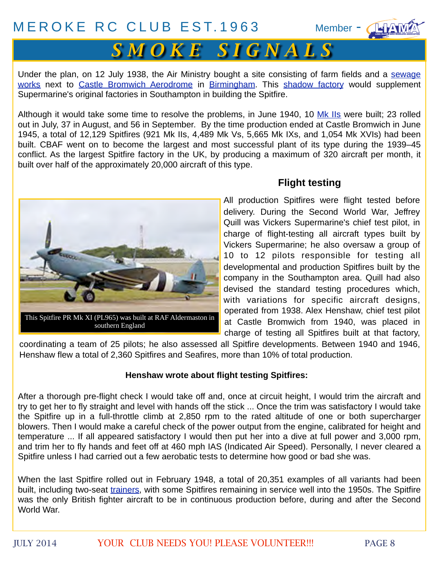

Under the plan, on 12 July 1938, the Air Ministry bought a site consisting of farm fields and a [sewage](http://en.wikipedia.org/wiki/Sewage_works) [works](http://en.wikipedia.org/wiki/Sewage_works) next to [Castle Bromwich Aerodrome](http://en.wikipedia.org/wiki/Castle_Bromwich_Aerodrome) in [Birmingham.](http://en.wikipedia.org/wiki/Birmingham) This [shadow factory](http://en.wikipedia.org/wiki/Shadow_factory) would supplement Supermarine's original factories in Southampton in building the Spitfire.

Although it would take some time to resolve the problems, in June 1940, 10 [Mk IIs](http://en.wikipedia.org/wiki/Supermarine_Spitfire_variants) were built; 23 rolled out in July, 37 in August, and 56 in September. By the time production ended at Castle Bromwich in June 1945, a total of 12,129 Spitfires (921 Mk IIs, 4,489 Mk Vs, 5,665 Mk IXs, and 1,054 Mk XVIs) had been built. CBAF went on to become the largest and most successful plant of its type during the 1939–45 conflict. As the largest Spitfire factory in the UK, by producing a maximum of 320 aircraft per month, it built over half of the approximately 20,000 aircraft of this type.



### **Flight testing**

All production Spitfires were flight tested before delivery. During the Second World War, [Jeffrey](http://en.wikipedia.org/wiki/Jeffrey_Quill) [Quill](http://en.wikipedia.org/wiki/Jeffrey_Quill) was Vickers Supermarine's chief test pilot, in charge of flight-testing all aircraft types built by Vickers Supermarine; he also oversaw a group of 10 to 12 pilots responsible for testing all developmental and production Spitfires built by the company in the Southampton area. Quill had also devised the standard testing procedures which, with variations for specific aircraft designs, operated from 1938. [Alex Henshaw,](http://en.wikipedia.org/wiki/Alex_Henshaw) chief test pilot at Castle Bromwich from 1940, was placed in charge of testing all Spitfires built at that factory,

coordinating a team of 25 pilots; he also assessed all Spitfire developments. Between 1940 and 1946, Henshaw flew a total of 2,360 Spitfires and Seafires, more than 10% of total production.

#### **Henshaw wrote about flight testing Spitfires:**

After a thorough pre-flight check I would take off and, once at circuit height, I would trim the aircraft and try to get her to fly straight and level with hands off the stick ... Once the trim was satisfactory I would take the Spitfire up in a full-throttle climb at 2,850 rpm to the rated altitude of one or both supercharger blowers. Then I would make a careful check of the power output from the engine, calibrated for height and temperature ... If all appeared satisfactory I would then put her into a dive at full power and 3,000 rpm, and trim her to fly hands and feet off at 460 mph IAS (Indicated Air Speed). Personally, I never cleared a Spitfire unless I had carried out a few aerobatic tests to determine how good or bad she was.

When the last Spitfire rolled out in February 1948, a total of 20,351 examples of all variants had been built, including two-seat [trainers,](http://en.wikipedia.org/wiki/Trainer_aircraft) with some Spitfires remaining in service well into the 1950s. The Spitfire was the only British fighter aircraft to be in continuous production before, during and after the Second World War.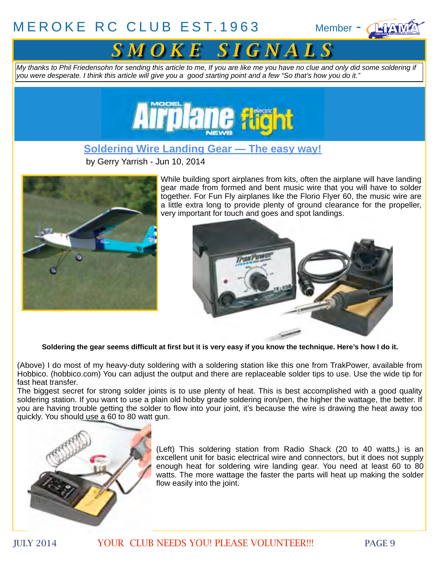



*My thanks to Phil Friedensohn for sending this article to me, If you are like me you have no clue and only did some soldering if you were desperate. I think this article will give you a good starting point and a few "So that's how you do it."*



**[Soldering Wire Landing Gear — The easy way!](http://www.modelairplanenews.com/blog/2014/06/10/soldering-wire-landing-gear-the-easy-way/)**

by [Gerry Yarrish](http://www.modelairplanenews.com/blog/author/gerryy/) - Jun 10, 2014



While building sport airplanes from kits, often the airplane will have landing gear made from formed and bent music wire that you will have to solder together. For Fun Fly airplanes like the Florio Flyer 60, the music wire are a little extra long to provide plenty of ground clearance for the propeller, very important for touch and goes and spot landings.



**Soldering the gear seems difficult at first but it is very easy if you know the technique. Here's how I do it.**

(Above) I do most of my heavy-duty soldering with a soldering station like this one from TrakPower, available from Hobbico. (hobbico.com) You can adjust the output and there are replaceable solder tips to use. Use the wide tip for fast heat transfer.

The biggest secret for strong solder joints is to use plenty of heat. This is best accomplished with a good quality soldering station. If you want to use a plain old hobby grade soldering iron/pen, the higher the wattage, the better. If you are having trouble getting the solder to flow into your joint, it's because the wire is drawing the heat away too quickly. You should use a 60 to 80 watt gun.



(Left) This soldering station from Radio Shack (20 to 40 watts,) is an excellent unit for basic electrical wire and connectors, but it does not supply enough heat for soldering wire landing gear. You need at least 60 to 80 watts. The more wattage the faster the parts will heat up making the solder flow easily into the joint.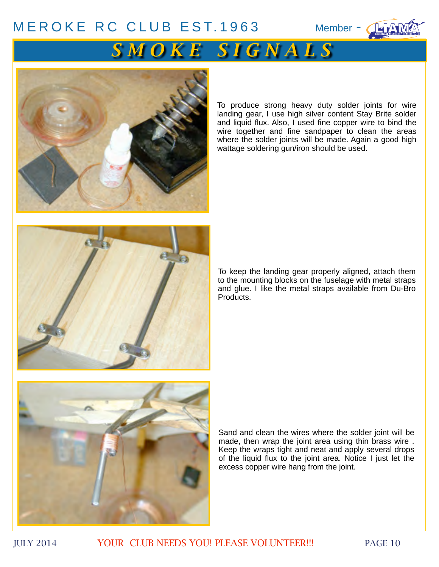



To produce strong heavy duty solder joints for wire landing gear, I use high silver content Stay Brite solder and liquid flux. Also, I used fine copper wire to bind the wire together and fine sandpaper to clean the areas where the solder joints will be made. Again a good high wattage soldering gun/iron should be used.



To keep the landing gear properly aligned, attach them to the mounting blocks on the fuselage with metal straps and glue. I like the metal straps available from Du-Bro Products.



Sand and clean the wires where the solder joint will be made, then wrap the joint area using thin brass wire . Keep the wraps tight and neat and apply several drops of the liquid flux to the joint area. Notice I just let the excess copper wire hang from the joint.